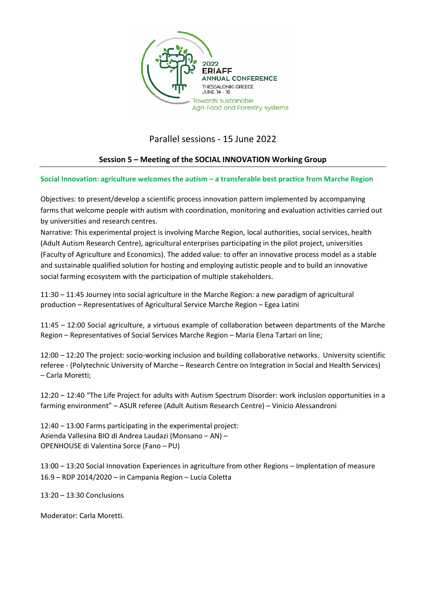

## Parallel sessions - 15 June 2022

## **Session 5 – Meeting of the SOCIAL INNOVATION Working Group**

## **Social Innovation: agriculture welcomes the autism – a transferable best practice from Marche Region**

Objectives: to present/develop a scientific process innovation pattern implemented by accompanying farms that welcome people with autism with coordination, monitoring and evaluation activities carried out by universities and research centres.

Narrative: This experimental project is involving Marche Region, local authorities, social services, health (Adult Autism Research Centre), agricultural enterprises participating in the pilot project, universities (Faculty of Agriculture and Economics). The added value: to offer an innovative process model as a stable and sustainable qualified solution for hosting and employing autistic people and to build an innovative social farming ecosystem with the participation of multiple stakeholders.

11:30 – 11:45 Journey into social agriculture in the Marche Region: a new paradigm of agricultural production – Representatives of Agricultural Service Marche Region – Egea Latini

11:45 – 12:00 Social agriculture, a virtuous example of collaboration between departments of the Marche Region – Representatives of Social Services Marche Region – Maria Elena Tartari on line;

12:00 – 12:20 The project: socio-working inclusion and building collaborative networks. University scientific referee - (Polytechnic University of Marche – Research Centre on Integration in Social and Health Services) – Carla Moretti;

12:20 – 12:40 "The Life Project for adults with Autism Spectrum Disorder: work inclusion opportunities in a farming environment" – ASUR referee (Adult Autism Research Centre) – Vinicio Alessandroni

12:40 – 13:00 Farms participating in the experimental project: Azienda Vallesina BIO di Andrea Laudazi (Monsano – AN) – OPENHOUSE di Valentina Sorce (Fano – PU)

13:00 – 13:20 Social Innovation Experiences in agriculture from other Regions – Implentation of measure 16.9 – RDP 2014/2020 – in Campania Region – Lucia Coletta

13:20 – 13:30 Conclusions

Moderator: Carla Moretti.